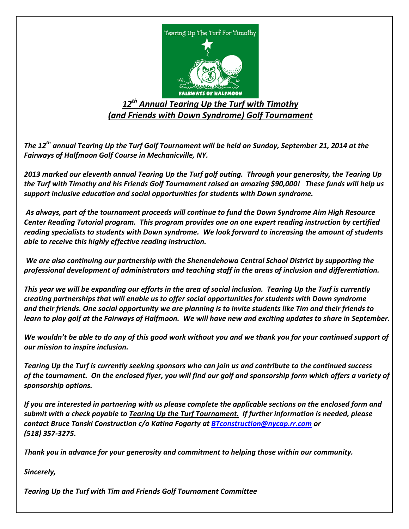

# *12th Annual Tearing Up the Turf with Timothy (and Friends with Down Syndrome) Golf Tournament*

*The 12th annual Tearing Up the Turf Golf Tournament will be held on Sunday, September 21, 2014 at the Fairways of Halfmoon Golf Course in Mechanicville, NY.*

*2013 marked our eleventh annual Tearing Up the Turf golf outing. Through your generosity, the Tearing Up the Turf with Timothy and his Friends Golf Tournament raised an amazing \$90,000! These funds will help us support inclusive education and social opportunities for students with Down syndrome.*

*As always, part of the tournament proceeds will continue to fund the Down Syndrome Aim High Resource Center Reading Tutorial program. This program provides one on one expert reading instruction by certified reading specialists to students with Down syndrome. We look forward to increasing the amount of students able to receive this highly effective reading instruction.* 

*We are also continuing our partnership with the Shenendehowa Central School District by supporting the professional development of administrators and teaching staff in the areas of inclusion and differentiation.* 

*This year we will be expanding our efforts in the area of social inclusion. Tearing Up the Turf is currently creating partnerships that will enable us to offer social opportunities for students with Down syndrome and their friends. One social opportunity we are planning is to invite students like Tim and their friends to learn to play golf at the Fairways of Halfmoon. We will have new and exciting updates to share in September.*

*We wouldn't be able to do any of this good work without you and we thank you for your continued support of our mission to inspire inclusion.* 

*Tearing Up the Turf is currently seeking sponsors who can join us and contribute to the continued success of the tournament. On the enclosed flyer, you will find our golf and sponsorship form which offers a variety of sponsorship options.* 

*If you are interested in partnering with us please complete the applicable sections on the enclosed form and submit with a check payable to Tearing Up the Turf Tournament. If further information is needed, please contact Bruce Tanski Construction c/o Katina Fogarty at [BTconstruction@nycap.rr.com](mailto:BTconstruction@nycap.rr.com) or (518) 357-3275.*

*Thank you in advance for your generosity and commitment to helping those within our community.*

*Sincerely,* 

*Tearing Up the Turf with Tim and Friends Golf Tournament Committee*